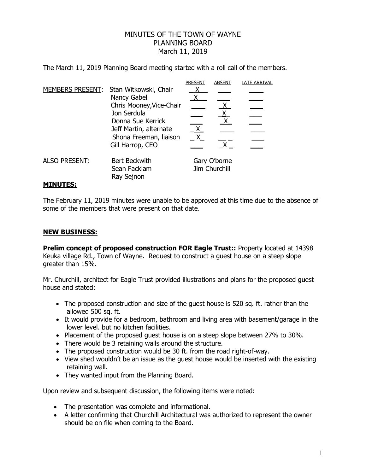## MINUTES OF THE TOWN OF WAYNE PLANNING BOARD March 11, 2019

The March 11, 2019 Planning Board meeting started with a roll call of the members.

|                      |                                                                                                                                                                              | <b>PRESENT</b>                | <b>ABSENT</b> | <b>LATE ARRIVAL</b> |
|----------------------|------------------------------------------------------------------------------------------------------------------------------------------------------------------------------|-------------------------------|---------------|---------------------|
| MEMBERS PRESENT:     | Stan Witkowski, Chair<br>Nancy Gabel<br>Chris Mooney, Vice-Chair<br>Jon Serdula<br>Donna Sue Kerrick<br>Jeff Martin, alternate<br>Shona Freeman, liaison<br>Gill Harrop, CEO | X.                            | $X_{-}$       |                     |
| <b>ALSO PRESENT:</b> | Bert Beckwith<br>Sean Facklam<br>Ray Sejnon                                                                                                                                  | Gary O'borne<br>Jim Churchill |               |                     |
| <b>MINUTES:</b>      |                                                                                                                                                                              |                               |               |                     |

## The February 11, 2019 minutes were unable to be approved at this time due to the absence of some of the members that were present on that date.

## **NEW BUSINESS:**

**Prelim concept of proposed construction FOR Eagle Trust::** Property located at 14398 Keuka village Rd., Town of Wayne. Request to construct a guest house on a steep slope greater than 15%.

Mr. Churchill, architect for Eagle Trust provided illustrations and plans for the proposed guest house and stated:

- The proposed construction and size of the quest house is 520 sq. ft. rather than the allowed 500 sq. ft.
- It would provide for a bedroom, bathroom and living area with basement/garage in the lower level. but no kitchen facilities.
- Placement of the proposed quest house is on a steep slope between 27% to 30%.
- There would be 3 retaining walls around the structure.
- The proposed construction would be 30 ft. from the road right-of-way.
- View shed wouldn't be an issue as the quest house would be inserted with the existing retaining wall.
- They wanted input from the Planning Board.

Upon review and subsequent discussion, the following items were noted:

- The presentation was complete and informational.
- A letter confirming that Churchill Architectural was authorized to represent the owner should be on file when coming to the Board.